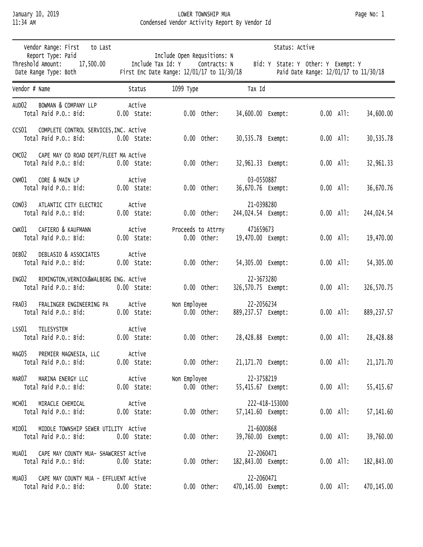## January 10, 2019 LOWER TOWNSHIP MUA Page No: 1 11:34 AM Condensed Vendor Activity Report By Vendor Id

| Vendor Range: First<br>to Last                                                      |                                                                                                                                                                                               | Status: Active                      |                                     |                            |  |  |  |  |  |
|-------------------------------------------------------------------------------------|-----------------------------------------------------------------------------------------------------------------------------------------------------------------------------------------------|-------------------------------------|-------------------------------------|----------------------------|--|--|--|--|--|
| Report Type: Paid<br>Threshold Amount:<br>17,500.00<br>Date Range Type: Both        | Include Open Requsitions: N<br>Include Tax Id: Y<br>Contracts: N<br>Bid: Y State: Y Other: Y Exempt: Y<br>First Enc Date Range: 12/01/17 to 11/30/18<br>Paid Date Range: 12/01/17 to 11/30/18 |                                     |                                     |                            |  |  |  |  |  |
| Vendor # Name                                                                       | Status                                                                                                                                                                                        | 1099 Туре                           | Tax Id                              |                            |  |  |  |  |  |
| AUD <sub>02</sub><br>BOWMAN & COMPANY LLP<br>Total Paid P.O.: Bid:                  | Active<br>$0.00$ State:                                                                                                                                                                       | $0.00$ Other:                       | 34,600.00 Exempt:                   | $0.00$ All:<br>34,600.00   |  |  |  |  |  |
| CCS01 COMPLETE CONTROL SERVICES, INC. Active<br>Total Paid P.O.: Bid:               | $0.00$ State:                                                                                                                                                                                 | $0.00$ Other:                       | 30,535.78 Exempt:                   | $0.00$ All:<br>30,535.78   |  |  |  |  |  |
| CAPE MAY CO ROAD DEPT/FLEET MA Active<br>CMC <sub>02</sub><br>Total Paid P.O.: Bid: | $0.00$ State:                                                                                                                                                                                 | $0.00$ Other:                       | 32,961.33 Exempt:                   | $0.00$ All:<br>32,961.33   |  |  |  |  |  |
| CNM01<br>CORE & MAIN LP<br>Total Paid P.O.: Bid:                                    | Active<br>$0.00$ State:                                                                                                                                                                       | $0.00$ Other:                       | 03-0550887<br>36,670.76 Exempt:     | $0.00$ All:<br>36,670.76   |  |  |  |  |  |
| CON <sub>03</sub><br>ATLANTIC CITY ELECTRIC<br>Total Paid P.O.: Bid:                | Active<br>$0.00$ State:                                                                                                                                                                       | $0.00$ Other:                       | 21-0398280<br>244,024.54 Exempt:    | $0.00$ All:<br>244,024.54  |  |  |  |  |  |
| CAFIERO & KAUFMANN<br>CWK01<br>Total Paid P.O.: Bid:                                | Active<br>$0.00$ State:                                                                                                                                                                       | Proceeds to Attrny<br>$0.00$ Other: | 471659673<br>19,470.00 Exempt:      | $0.00$ All:<br>19,470.00   |  |  |  |  |  |
| DEBLASIO & ASSOCIATES<br>DEB <sub>02</sub><br>Total Paid P.O.: Bid:                 | Active<br>$0.00$ State:                                                                                                                                                                       | $0.00$ Other:                       | 54,305.00 Exempt:                   | $0.00$ All:<br>54,305.00   |  |  |  |  |  |
| ENG02<br>REMINGTON, VERNICK&WALBERG ENG. Active<br>Total Paid P.O.: Bid:            | $0.00$ State:                                                                                                                                                                                 | $0.00$ Other:                       | 22-3673280<br>326,570.75 Exempt:    | $0.00$ All:<br>326, 570.75 |  |  |  |  |  |
| FRA03<br>FRALINGER ENGINEERING PA<br>Total Paid P.O.: Bid:                          | Active<br>$0.00$ State:                                                                                                                                                                       | Non Employee<br>$0.00$ Other:       | 22-2056234<br>889,237.57 Exempt:    | $0.00$ All:<br>889, 237.57 |  |  |  |  |  |
| LSS01<br>TELESYSTEM<br>Total Paid P.O.: Bid:                                        | Active<br>$0.00$ State:                                                                                                                                                                       | $0.00$ Other:                       | 28,428.88 Exempt:                   | $0.00$ All:<br>28,428.88   |  |  |  |  |  |
| MAG05<br>PREMIER MAGNESIA, LLC<br>Total Paid P.O.: Bid:                             | Active<br>$0.00$ State:                                                                                                                                                                       | $0.00$ Other:                       | 21,171.70 Exempt:                   | $0.00$ All:<br>21, 171.70  |  |  |  |  |  |
| MARINA ENERGY LLC<br>MARO7<br>Total Paid P.O.: Bid:                                 | Active<br>$0.00$ State:                                                                                                                                                                       | Non Employee<br>$0.00$ Other:       | 22-3758219<br>55,415.67 Exempt:     | $0.00$ All:<br>55,415.67   |  |  |  |  |  |
| MIRACLE CHEMICAL<br>мсн01<br>Total Paid P.O.: Bid:                                  | Active<br>$0.00$ State:                                                                                                                                                                       | $0.00$ Other:                       | 222-418-153000<br>57,141.60 Exempt: | $0.00$ All:<br>57, 141.60  |  |  |  |  |  |
| MIDDLE TOWNSHIP SEWER UTILITY Active<br>MIDO1<br>Total Paid P.O.: Bid:              | $0.00$ State:                                                                                                                                                                                 | $0.00$ Other:                       | 21-6000868<br>39,760.00 Exempt:     | $0.00$ All:<br>39,760.00   |  |  |  |  |  |
| MUAO1<br>CAPE MAY COUNTY MUA- SHAWCREST Active<br>Total Paid P.O.: Bid:             | $0.00$ State:                                                                                                                                                                                 | $0.00$ Other:                       | 22-2060471<br>182,843.00 Exempt:    | $0.00$ All:<br>182,843.00  |  |  |  |  |  |
| CAPE MAY COUNTY MUA - EFFLUENT Active<br>MUA03<br>Total Paid P.O.: Bid:             | $0.00$ State:                                                                                                                                                                                 | $0.00$ Other:                       | 22-2060471<br>470,145.00 Exempt:    | $0.00$ All:<br>470,145.00  |  |  |  |  |  |